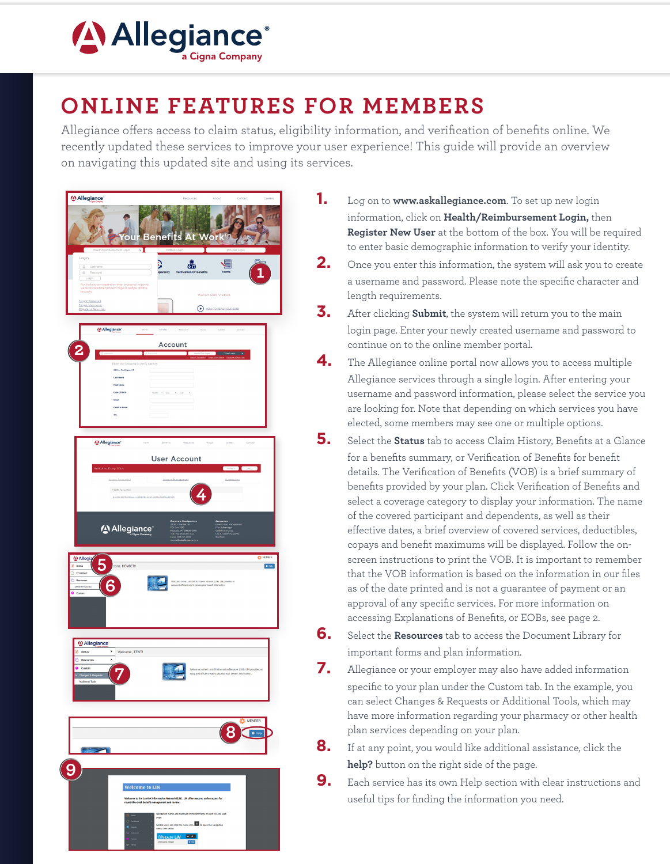

## **ONLINE FEATURES FOR MEMBERS**

Allegiance offers access to claim status, eligibility information, and verification of benefits online. We recently updated these services to improve your user experience! This quide will provide an overview on navigating this updated site and using its services.



- 1. Log on to www.askallegiance.com. To set up new login information, click on Health/Reimbursement Login, then Register New User at the bottom of the box. You will be required to enter basic demographic information to verify your identity.
- $2_{-}$ Once you enter this information, the system will ask you to create a username and password. Please note the specific character and length requirements.
- 3. After clicking Submit, the system will return you to the main login page. Enter your newly created username and password to continue on to the online member portal.
- 4. The Allegiance online portal now allows you to access multiple Allegiance services through a single login. After entering your username and password information, please select the service you are looking for. Note that depending on which services you have elected, some members may see one or multiple options.
- 5. Select the Status tab to access Claim History, Benefits at a Glance for a benefits summary, or Verification of Benefits for benefit details. The Verification of Benefits (VOB) is a brief summary of benefits provided by your plan. Click Verification of Benefits and select a coverage category to display your information. The name of the covered participant and dependents, as well as their effective dates, a brief overview of covered services, deductibles. copays and benefit maximums will be displayed. Follow the onscreen instructions to print the VOB. It is important to remember that the VOB information is based on the information in our files as of the date printed and is not a guarantee of payment or an approval of any specific services. For more information on accessing Explanations of Benefits, or EOBs, see page 2.
- 6. Select the Resources tab to access the Document Library for important forms and plan information.
- 7. Allegiance or your employer may also have added information specific to your plan under the Custom tab. In the example, you can select Changes & Requests or Additional Tools, which may have more information regarding your pharmacy or other health plan services depending on your plan.
- 8. If at any point, you would like additional assistance, click the help? button on the right side of the page.
- 9. Each service has its own Help section with clear instructions and useful tips for finding the information you need.